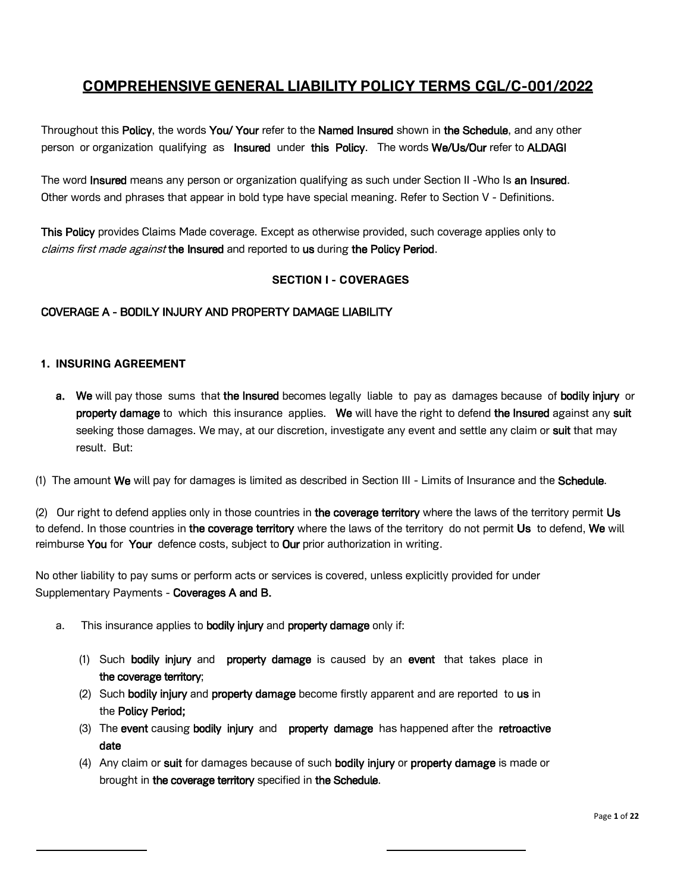# **COMPREHENSIVE GENERAL LIABILITY POLICY TERMS CGL/C-001/2022**

Throughout this Policy, the words You/ Your refer to the Named Insured shown in the Schedule, and any other person or organization qualifying as Insured under this Policy. The words We/Us/Our refer to ALDAGI

The word **Insured** means any person or organization qualifying as such under Section II -Who Is an Insured. Other words and phrases that appear in bold type have special meaning. Refer to Section V - Definitions.

This Policy provides Claims Made coverage. Except as otherwise provided, such coverage applies only to claims first made against the Insured and reported to us during the Policy Period.

## **SECTION I - COVERAGES**

## COVERAGE A - BODILY INJURY AND PROPERTY DAMAGE LIABILITY

### **1. INSURING AGREEMENT**

a. We will pay those sums that the Insured becomes legally liable to pay as damages because of bodily injury or property damage to which this insurance applies. We will have the right to defend the Insured against any suit seeking those damages. We may, at our discretion, investigate any event and settle any claim or suit that may result. But:

(1) The amount We will pay for damages is limited as described in Section III - Limits of Insurance and the Schedule.

(2) Our right to defend applies only in those countries in the coverage territory where the laws of the territory permit Us to defend. In those countries in the coverage territory where the laws of the territory do not permit Us to defend, We will reimburse You for Your defence costs, subject to Our prior authorization in writing.

No other liability to pay sums or perform acts or services is covered, unless explicitly provided for under Supplementary Payments - Coverages A and B.

- a. This insurance applies to bodily injury and property damage only if:
	- (1) Such bodily injury and property damage is caused by an event that takes place in the coverage territory;
	- (2) Such bodily injury and property damage become firstly apparent and are reported to us in the Policy Period;
	- (3) The event causing bodily injury and property damage has happened after the retroactive date
	- (4) Any claim or suit for damages because of such bodily injury or property damage is made or brought in the coverage territory specified in the Schedule.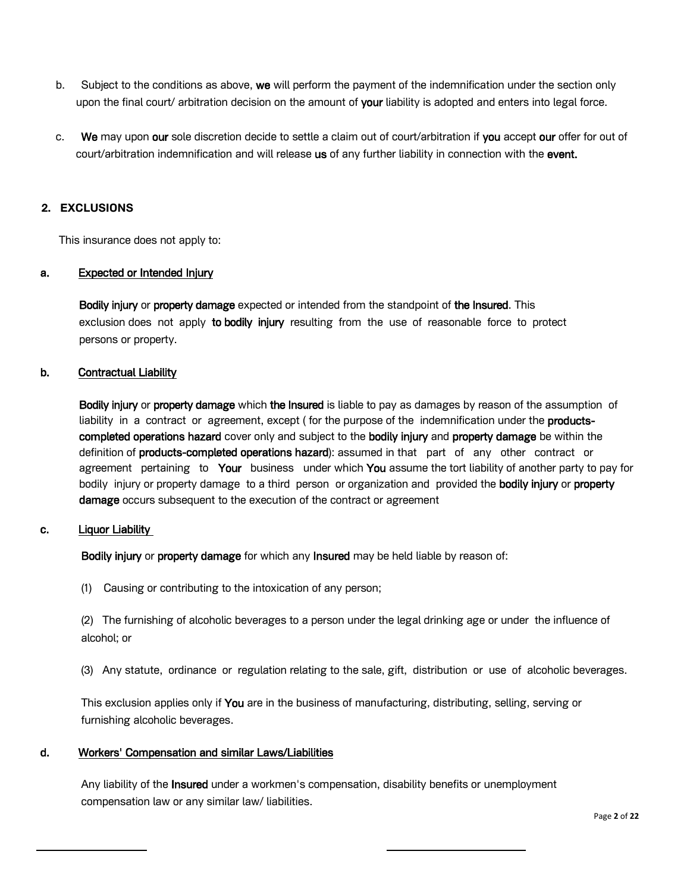- b. Subject to the conditions as above, we will perform the payment of the indemnification under the section only upon the final court/ arbitration decision on the amount of your liability is adopted and enters into legal force.
- c. We may upon our sole discretion decide to settle a claim out of court/arbitration if you accept our offer for out of court/arbitration indemnification and will release us of any further liability in connection with the event.

## **2. EXCLUSIONS**

This insurance does not apply to:

### a. Expected or Intended Injury

**Bodily injury or property damage** expected or intended from the standpoint of the Insured. This exclusion does not apply to bodily injury resulting from the use of reasonable force to protect persons or property.

### b. Contractual Liability

Bodily injury or property damage which the Insured is liable to pay as damages by reason of the assumption of liability in a contract or agreement, except (for the purpose of the indemnification under the productscompleted operations hazard cover only and subject to the bodily injury and property damage be within the definition of products-completed operations hazard): assumed in that part of any other contract or agreement pertaining to Your business under which You assume the tort liability of another party to pay for bodily injury or property damage to a third person or organization and provided the bodily injury or property damage occurs subsequent to the execution of the contract or agreement

### c. Liquor Liability

Bodily injury or property damage for which any Insured may be held liable by reason of:

(1) Causing or contributing to the intoxication of any person;

(2) The furnishing of alcoholic beverages to a person under the legal drinking age or under the influence of alcohol; or

(3) Any statute, ordinance or regulation relating to the sale, gift, distribution or use of alcoholic beverages.

This exclusion applies only if You are in the business of manufacturing, distributing, selling, serving or furnishing alcoholic beverages.

### d. Workers' Compensation and similar Laws/Liabilities

Any liability of the **Insured** under a workmen's compensation, disability benefits or unemployment compensation law or any similar law/ liabilities.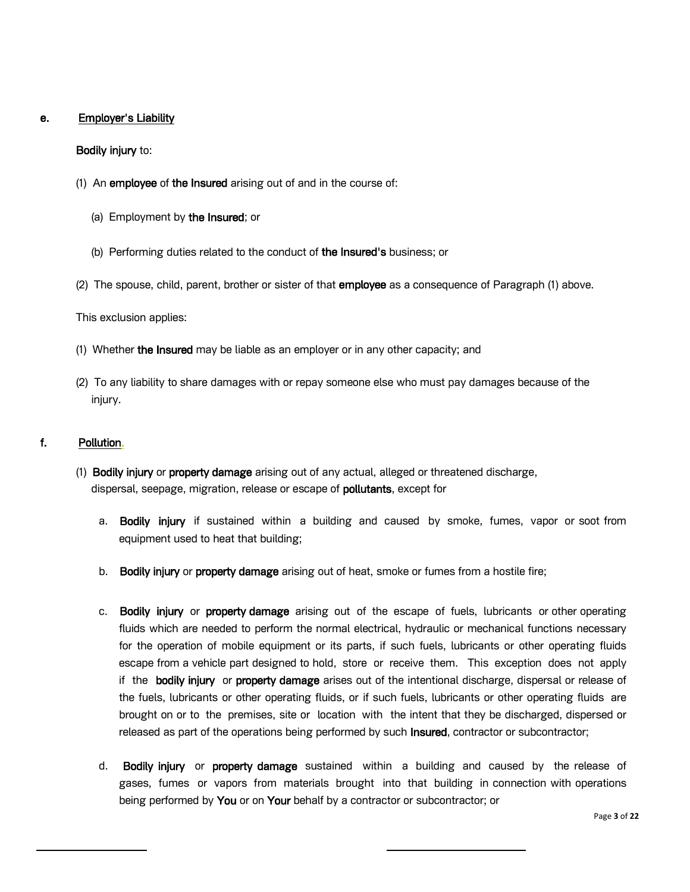## e. Employer's Liability

### Bodily injury to:

- (1) An employee of the Insured arising out of and in the course of:
	- (a) Employment by the Insured; or
	- (b) Performing duties related to the conduct of the Insured's business; or
- (2) The spouse, child, parent, brother or sister of that employee as a consequence of Paragraph (1) above.

This exclusion applies:

- (1) Whether the Insured may be liable as an employer or in any other capacity; and
- (2) To any liability to share damages with or repay someone else who must pay damages because of the injury.

## f. Pollution.

- (1) Bodily injury or property damage arising out of any actual, alleged or threatened discharge, dispersal, seepage, migration, release or escape of pollutants, except for
	- a. Bodily injury if sustained within a building and caused by smoke, fumes, vapor or soot from equipment used to heat that building;
	- b. Bodily injury or property damage arising out of heat, smoke or fumes from a hostile fire;
	- c. Bodily injury or property damage arising out of the escape of fuels, lubricants or other operating fluids which are needed to perform the normal electrical, hydraulic or mechanical functions necessary for the operation of mobile equipment or its parts, if such fuels, lubricants or other operating fluids escape from a vehicle part designed to hold, store or receive them. This exception does not apply if the bodily injury or property damage arises out of the intentional discharge, dispersal or release of the fuels, lubricants or other operating fluids, or if such fuels, lubricants or other operating fluids are brought on or to the premises, site or location with the intent that they be discharged, dispersed or released as part of the operations being performed by such Insured, contractor or subcontractor;
	- d. Bodily injury or property damage sustained within a building and caused by the release of gases, fumes or vapors from materials brought into that building in connection with operations being performed by You or on Your behalf by a contractor or subcontractor; or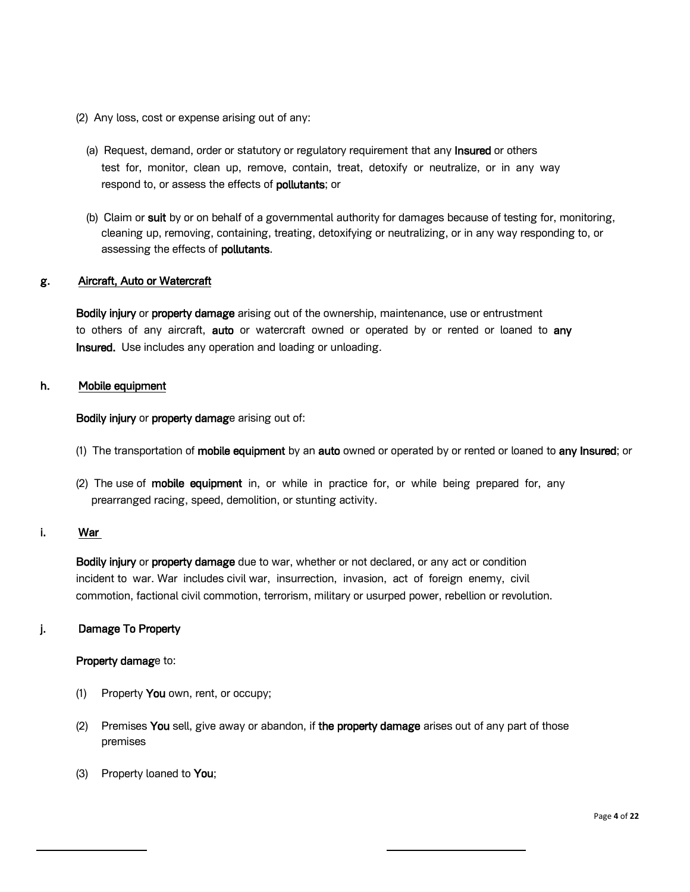- (2) Any loss, cost or expense arising out of any:
	- (a) Request, demand, order or statutory or regulatory requirement that any Insured or others test for, monitor, clean up, remove, contain, treat, detoxify or neutralize, or in any way respond to, or assess the effects of **pollutants**; or
	- (b) Claim or suit by or on behalf of a governmental authority for damages because of testing for, monitoring, cleaning up, removing, containing, treating, detoxifying or neutralizing, or in any way responding to, or assessing the effects of **pollutants**.

## g. Aircraft, Auto or Watercraft

Bodily injury or property damage arising out of the ownership, maintenance, use or entrustment to others of any aircraft, auto or watercraft owned or operated by or rented or loaned to any Insured. Use includes any operation and loading or unloading.

## h. Mobile equipment

Bodily injury or property damage arising out of:

- (1) The transportation of mobile equipment by an auto owned or operated by or rented or loaned to any Insured; or
- (2) The use of mobile equipment in, or while in practice for, or while being prepared for, any prearranged racing, speed, demolition, or stunting activity.

## i. War

**Bodily injury** or **property damage** due to war, whether or not declared, or any act or condition incident to war. War includes civil war, insurrection, invasion, act of foreign enemy, civil commotion, factional civil commotion, terrorism, military or usurped power, rebellion or revolution.

## j. Damage To Property

### Property damage to:

- (1) Property You own, rent, or occupy;
- $(2)$  Premises You sell, give away or abandon, if the property damage arises out of any part of those premises
- (3) Property loaned to You;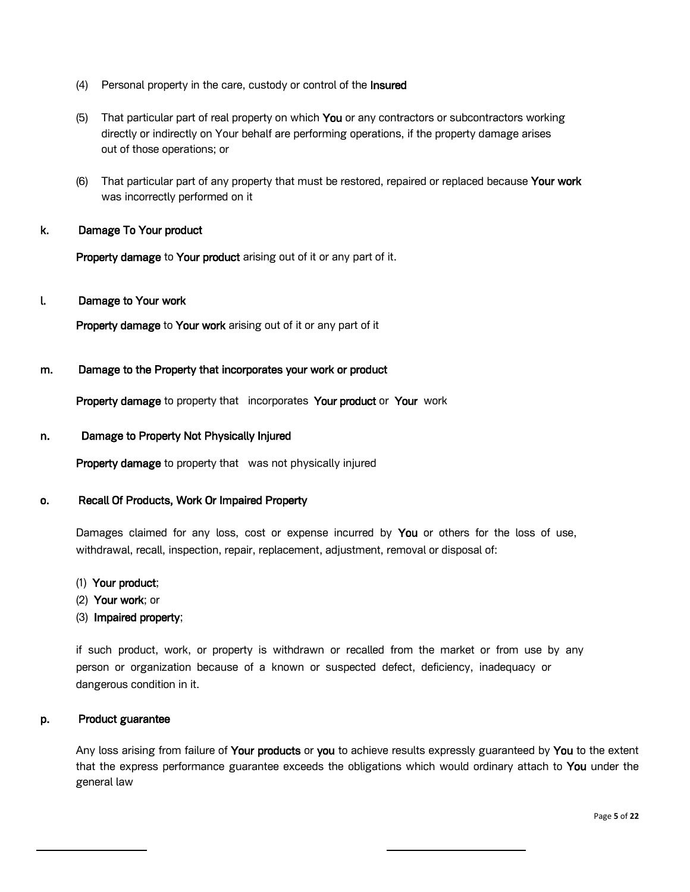- (4) Personal property in the care, custody or control of the Insured
- (5) That particular part of real property on which You or any contractors or subcontractors working directly or indirectly on Your behalf are performing operations, if the property damage arises out of those operations; or
- (6) That particular part of any property that must be restored, repaired or replaced because Your work was incorrectly performed on it

## k. Damage To Your product

Property damage to Your product arising out of it or any part of it.

### l. Damage to Your work

Property damage to Your work arising out of it or any part of it

### m. Damage to the Property that incorporates your work or product

Property damage to property that incorporates Your product or Your work

### n. Damage to Property Not Physically Injured

Property damage to property that was not physically injured

### o. Recall Of Products, Work Or Impaired Property

Damages claimed for any loss, cost or expense incurred by You or others for the loss of use, withdrawal, recall, inspection, repair, replacement, adjustment, removal or disposal of:

- (1) Your product;
- (2) Your work; or
- (3) Impaired property;

if such product, work, or property is withdrawn or recalled from the market or from use by any person or organization because of a known or suspected defect, deficiency, inadequacy or dangerous condition in it.

### p. Product guarantee

Any loss arising from failure of Your products or you to achieve results expressly guaranteed by You to the extent that the express performance guarantee exceeds the obligations which would ordinary attach to You under the general law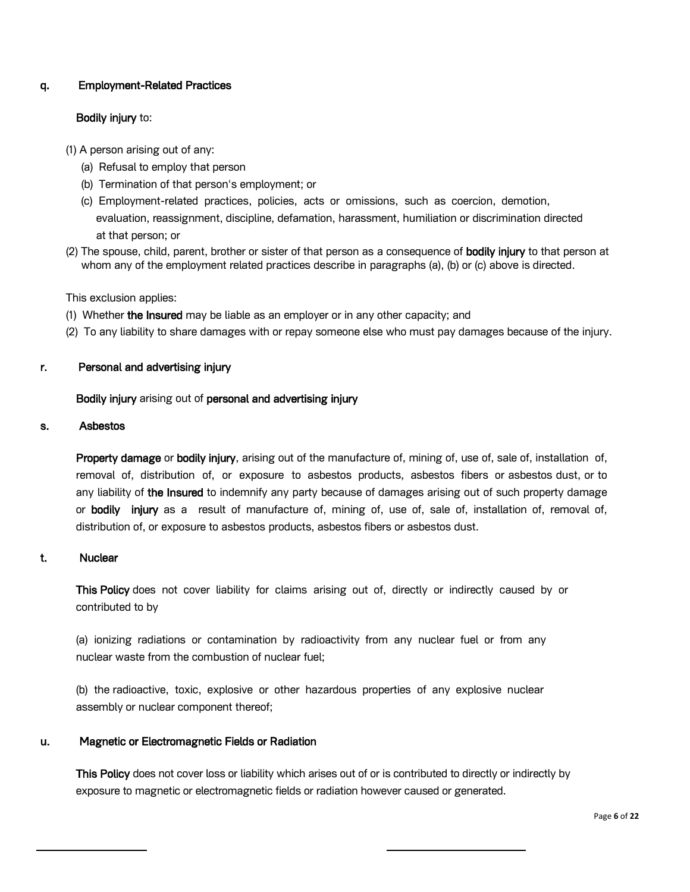## q. Employment-Related Practices

## Bodily injury to:

- (1) A person arising out of any:
	- (a) Refusal to employ that person
	- (b) Termination of that person's employment; or
	- (c) Employment-related practices, policies, acts or omissions, such as coercion, demotion, evaluation, reassignment, discipline, defamation, harassment, humiliation or discrimination directed at that person; or
- (2) The spouse, child, parent, brother or sister of that person as a consequence of **bodily injury** to that person at whom any of the employment related practices describe in paragraphs (a), (b) or (c) above is directed.

This exclusion applies:

- (1) Whether the Insured may be liable as an employer or in any other capacity; and
- (2) To any liability to share damages with or repay someone else who must pay damages because of the injury.

### r. Personal and advertising injury

Bodily injury arising out of personal and advertising injury

### s. Asbestos

Property damage or bodily injury, arising out of the manufacture of, mining of, use of, sale of, installation of, removal of, distribution of, or exposure to asbestos products, asbestos fibers or asbestos dust, or to any liability of the Insured to indemnify any party because of damages arising out of such property damage or bodily injury as a result of manufacture of, mining of, use of, sale of, installation of, removal of, distribution of, or exposure to asbestos products, asbestos fibers or asbestos dust.

## t. Nuclear

This Policy does not cover liability for claims arising out of, directly or indirectly caused by or contributed to by

(a) ionizing radiations or contamination by radioactivity from any nuclear fuel or from any nuclear waste from the combustion of nuclear fuel;

(b) the radioactive, toxic, explosive or other hazardous properties of any explosive nuclear assembly or nuclear component thereof;

### u. Magnetic or Electromagnetic Fields or Radiation

This Policy does not cover loss or liability which arises out of or is contributed to directly or indirectly by exposure to magnetic or electromagnetic fields or radiation however caused or generated.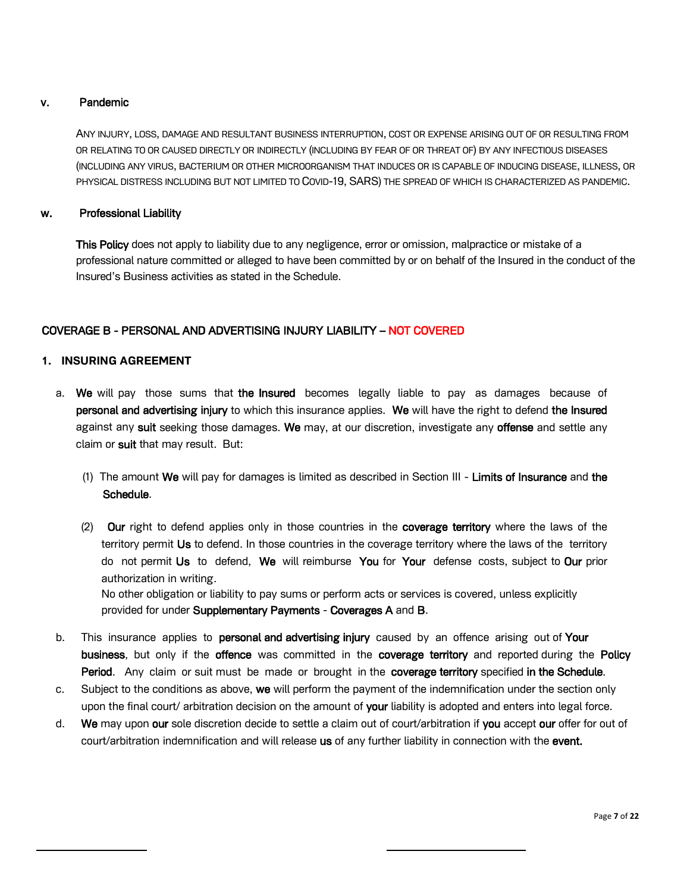## v. Pandemic

ANY INJURY, LOSS, DAMAGE AND RESULTANT BUSINESS INTERRUPTION, COST OR EXPENSE ARISING OUT OF OR RESULTING FROM OR RELATING TO OR CAUSED DIRECTLY OR INDIRECTLY (INCLUDING BY FEAR OF OR THREAT OF) BY ANY INFECTIOUS DISEASES (INCLUDING ANY VIRUS, BACTERIUM OR OTHER MICROORGANISM THAT INDUCES OR IS CAPABLE OF INDUCING DISEASE, ILLNESS, OR PHYSICAL DISTRESS INCLUDING BUT NOT LIMITED TO COVID-19, SARS) THE SPREAD OF WHICH IS CHARACTERIZED AS PANDEMIC.

## w. Professional Liability

This Policy does not apply to liability due to any negligence, error or omission, malpractice or mistake of a professional nature committed or alleged to have been committed by or on behalf of the Insured in the conduct of the Insured's Business activities as stated in the Schedule.

## COVERAGE B - PERSONAL AND ADVERTISING INJURY LIABILITY – NOT COVERED

## **1. INSURING AGREEMENT**

- a. We will pay those sums that the Insured becomes legally liable to pay as damages because of personal and advertising injury to which this insurance applies. We will have the right to defend the Insured against any suit seeking those damages. We may, at our discretion, investigate any offense and settle any claim or suit that may result. But:
	- (1) The amount We will pay for damages is limited as described in Section III Limits of Insurance and the Schedule.
	- (2) Our right to defend applies only in those countries in the coverage territory where the laws of the territory permit Us to defend. In those countries in the coverage territory where the laws of the territory do not permit Us to defend, We will reimburse You for Your defense costs, subject to Our prior authorization in writing.

No other obligation or liability to pay sums or perform acts or services is covered, unless explicitly provided for under Supplementary Payments - Coverages A and B.

- b. This insurance applies to personal and advertising injury caused by an offence arising out of Your business, but only if the offence was committed in the coverage territory and reported during the Policy Period. Any claim or suit must be made or brought in the coverage territory specified in the Schedule.
- c. Subject to the conditions as above, we will perform the payment of the indemnification under the section only upon the final court/ arbitration decision on the amount of your liability is adopted and enters into legal force.
- d. We may upon our sole discretion decide to settle a claim out of court/arbitration if you accept our offer for out of court/arbitration indemnification and will release us of any further liability in connection with the event.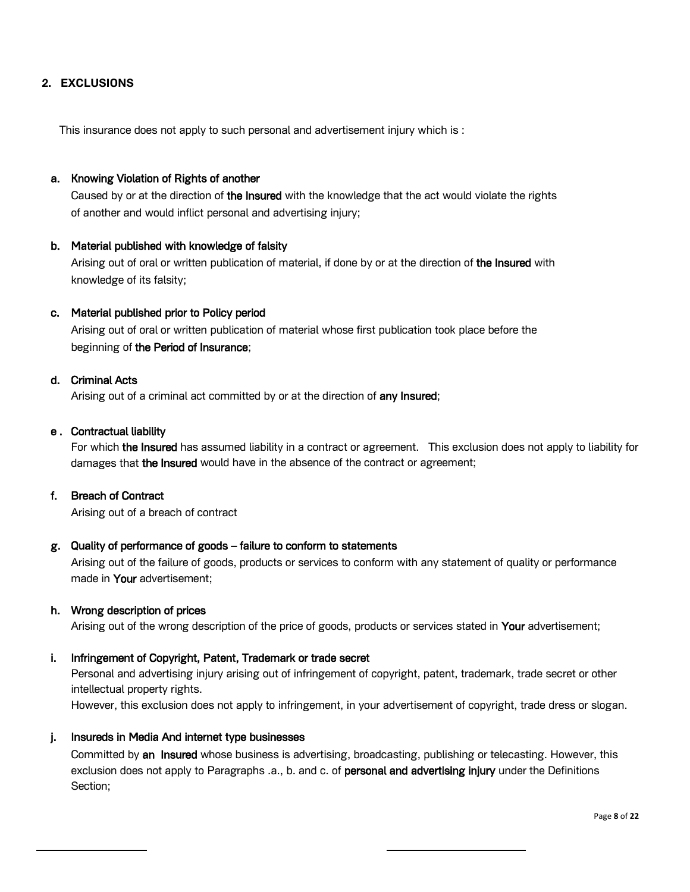## **2. EXCLUSIONS**

This insurance does not apply to such personal and advertisement injury which is :

### a. Knowing Violation of Rights of another

Caused by or at the direction of the Insured with the knowledge that the act would violate the rights of another and would inflict personal and advertising injury;

### b. Material published with knowledge of falsity

Arising out of oral or written publication of material, if done by or at the direction of the Insured with knowledge of its falsity;

### c. Material published prior to Policy period

Arising out of oral or written publication of material whose first publication took place before the beginning of the Period of Insurance;

### d. Criminal Acts

Arising out of a criminal act committed by or at the direction of any Insured;

### e . Contractual liability

For which the Insured has assumed liability in a contract or agreement. This exclusion does not apply to liability for damages that the Insured would have in the absence of the contract or agreement;

### f. Breach of Contract

Arising out of a breach of contract

## g. Quality of performance of goods – failure to conform to statements

Arising out of the failure of goods, products or services to conform with any statement of quality or performance made in Your advertisement;

#### h. Wrong description of prices

Arising out of the wrong description of the price of goods, products or services stated in Your advertisement;

#### i. Infringement of Copyright, Patent, Trademark or trade secret

Personal and advertising injury arising out of infringement of copyright, patent, trademark, trade secret or other intellectual property rights.

However, this exclusion does not apply to infringement, in your advertisement of copyright, trade dress or slogan.

### j. Insureds in Media And internet type businesses

Committed by an Insured whose business is advertising, broadcasting, publishing or telecasting. However, this exclusion does not apply to Paragraphs .a., b. and c. of personal and advertising injury under the Definitions Section;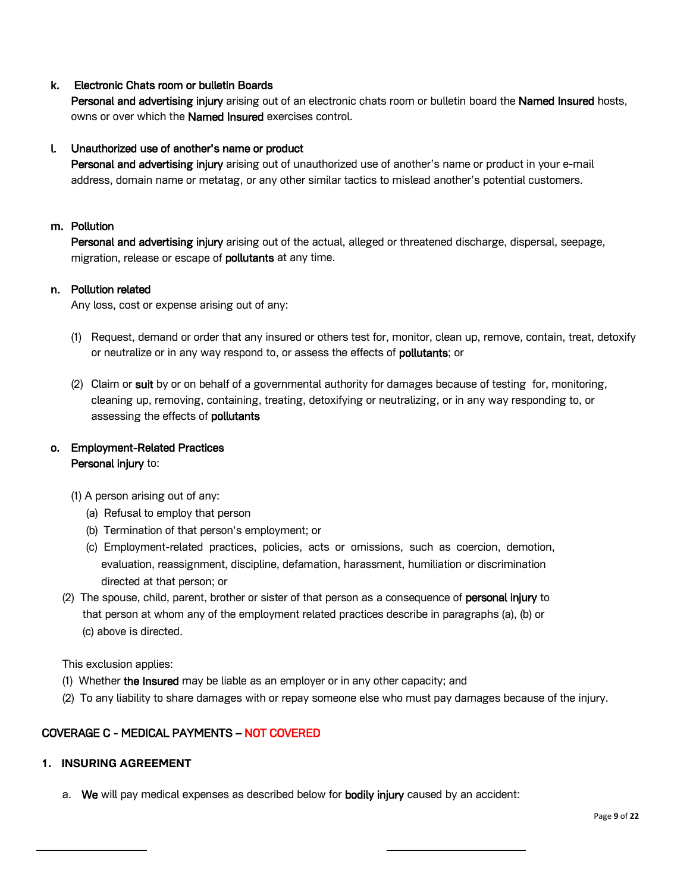## k. Electronic Chats room or bulletin Boards

Personal and advertising injury arising out of an electronic chats room or bulletin board the Named Insured hosts, owns or over which the Named Insured exercises control.

## l. Unauthorized use of another's name or product

Personal and advertising injury arising out of unauthorized use of another's name or product in your e-mail address, domain name or metatag, or any other similar tactics to mislead another's potential customers.

### m. Pollution

Personal and advertising injury arising out of the actual, alleged or threatened discharge, dispersal, seepage, migration, release or escape of **pollutants** at any time.

## n. Pollution related

Any loss, cost or expense arising out of any:

- (1) Request, demand or order that any insured or others test for, monitor, clean up, remove, contain, treat, detoxify or neutralize or in any way respond to, or assess the effects of pollutants; or
- (2) Claim or suit by or on behalf of a governmental authority for damages because of testing for, monitoring, cleaning up, removing, containing, treating, detoxifying or neutralizing, or in any way responding to, or assessing the effects of pollutants

# o. Employment-Related Practices Personal injury to:

- (1) A person arising out of any:
	- (a) Refusal to employ that person
	- (b) Termination of that person's employment; or
	- (c) Employment-related practices, policies, acts or omissions, such as coercion, demotion, evaluation, reassignment, discipline, defamation, harassment, humiliation or discrimination directed at that person; or
- (2) The spouse, child, parent, brother or sister of that person as a consequence of **personal injury** to that person at whom any of the employment related practices describe in paragraphs (a), (b) or (c) above is directed.

This exclusion applies:

- (1) Whether the Insured may be liable as an employer or in any other capacity; and
- (2) To any liability to share damages with or repay someone else who must pay damages because of the injury.

# COVERAGE C - MEDICAL PAYMENTS – NOT COVERED

# **1. INSURING AGREEMENT**

a. We will pay medical expenses as described below for bodily injury caused by an accident: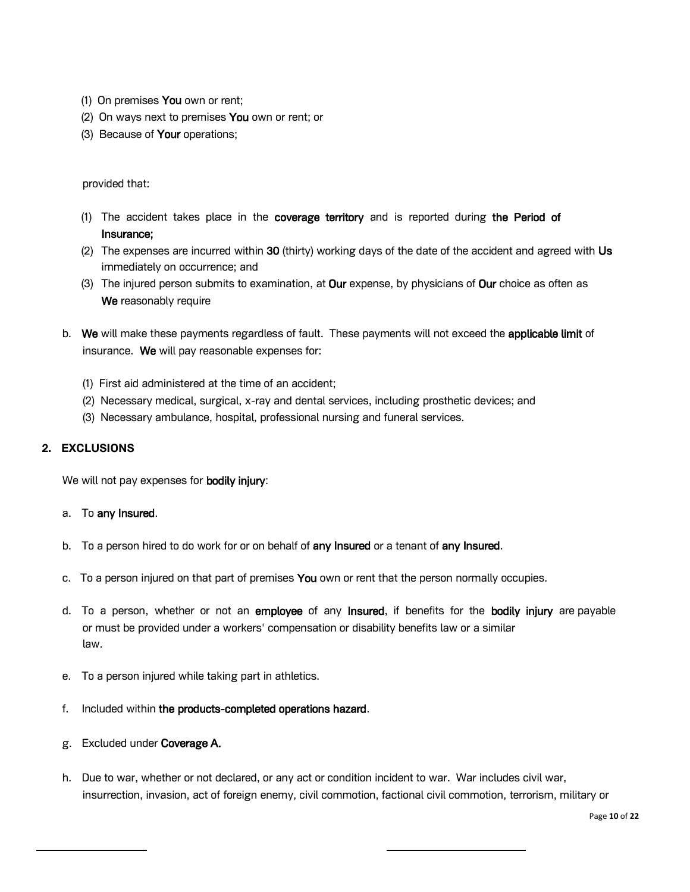- (1) On premises You own or rent;
- (2) On ways next to premises You own or rent; or
- (3) Because of Your operations;

## provided that:

- (1) The accident takes place in the coverage territory and is reported during the Period of Insurance;
- (2) The expenses are incurred within 30 (thirty) working days of the date of the accident and agreed with Us immediately on occurrence; and
- (3) The injured person submits to examination, at Our expense, by physicians of Our choice as often as We reasonably require
- b. We will make these payments regardless of fault. These payments will not exceed the applicable limit of insurance. We will pay reasonable expenses for:
	- (1) First aid administered at the time of an accident;
	- (2) Necessary medical, surgical, x-ray and dental services, including prosthetic devices; and
	- (3) Necessary ambulance, hospital, professional nursing and funeral services.

## **2. EXCLUSIONS**

We will not pay expenses for **bodily injury:** 

### a. To any Insured.

- b. To a person hired to do work for or on behalf of any Insured or a tenant of any Insured.
- c. To a person injured on that part of premises You own or rent that the person normally occupies.
- d. To a person, whether or not an employee of any Insured, if benefits for the bodily injury are payable or must be provided under a workers' compensation or disability benefits law or a similar law.
- e. To a person injured while taking part in athletics.
- f. Included within the products-completed operations hazard.
- g. Excluded under Coverage A.
- h. Due to war, whether or not declared, or any act or condition incident to war. War includes civil war, insurrection, invasion, act of foreign enemy, civil commotion, factional civil commotion, terrorism, military or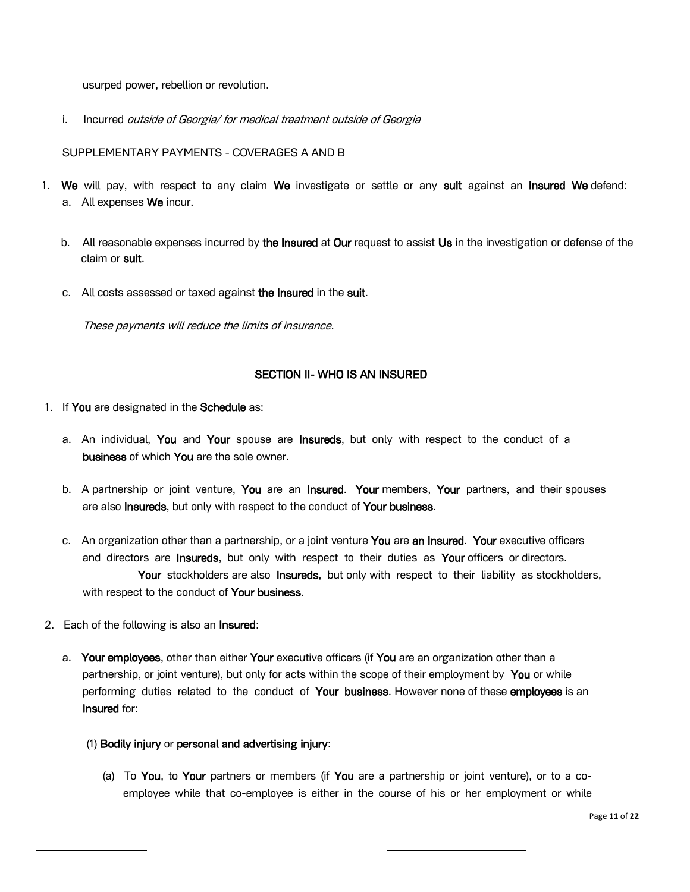usurped power, rebellion or revolution.

i. Incurred *outside of Georgia/ for medical treatment outside of Georgia* 

SUPPLEMENTARY PAYMENTS - COVERAGES A AND B

- 1. We will pay, with respect to any claim We investigate or settle or any suit against an Insured We defend: a. All expenses We incur.
	- b. All reasonable expenses incurred by the Insured at Our request to assist Us in the investigation or defense of the claim or suit.
	- c. All costs assessed or taxed against the Insured in the suit.

These payments will reduce the limits of insurance.

## SECTION II- WHO IS AN INSURED

- 1. If You are designated in the Schedule as:
	- a. An individual, You and Your spouse are Insureds, but only with respect to the conduct of a business of which You are the sole owner.
	- b. A partnership or joint venture, You are an Insured. Your members, Your partners, and their spouses are also Insureds, but only with respect to the conduct of Your business.
	- c. An organization other than a partnership, or a joint venture You are an Insured. Your executive officers and directors are Insureds, but only with respect to their duties as Your officers or directors. Your stockholders are also Insureds, but only with respect to their liability as stockholders, with respect to the conduct of Your business.
- 2. Each of the following is also an Insured:
	- a. Your employees, other than either Your executive officers (if You are an organization other than a partnership, or joint venture), but only for acts within the scope of their employment by You or while performing duties related to the conduct of Your business. However none of these employees is an Insured for:
		- (1) Bodily injury or personal and advertising injury:
			- (a) To You, to Your partners or members (if You are a partnership or joint venture), or to a coemployee while that co-employee is either in the course of his or her employment or while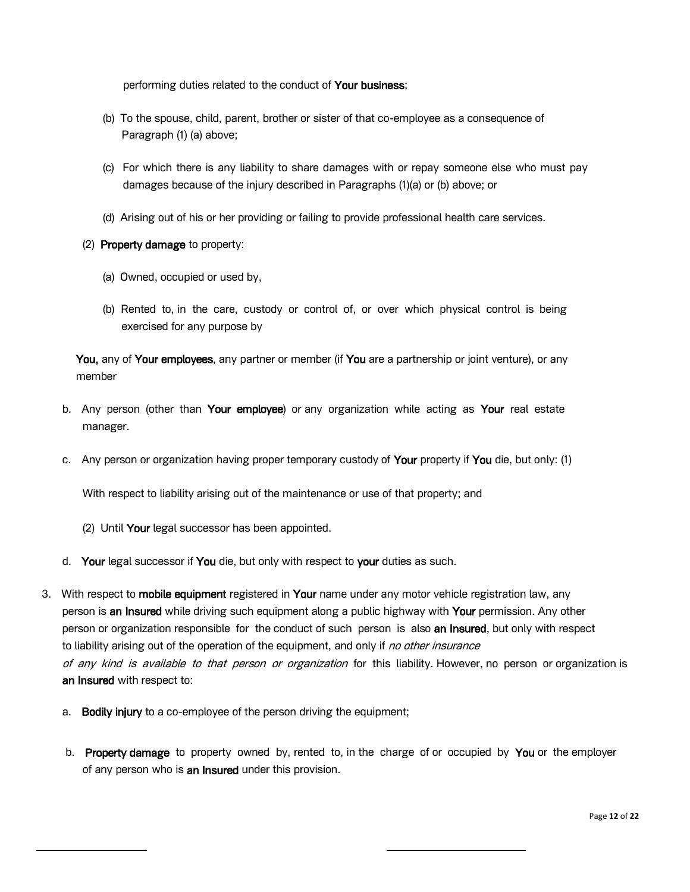performing duties related to the conduct of Your business;

- (b) To the spouse, child, parent, brother or sister of that co-employee as a consequence of Paragraph (1) (a) above;
- (c) For which there is any liability to share damages with or repay someone else who must pay damages because of the injury described in Paragraphs (1)(a) or (b) above; or
- (d) Arising out of his or her providing or failing to provide professional health care services.
- (2) Property damage to property:
	- (a) Owned, occupied or used by,
	- (b) Rented to, in the care, custody or control of, or over which physical control is being exercised for any purpose by

You, any of Your employees, any partner or member (if You are a partnership or joint venture), or any member

- b. Any person (other than Your employee) or any organization while acting as Your real estate manager.
- c. Any person or organization having proper temporary custody of Your property if You die, but only: (1)

With respect to liability arising out of the maintenance or use of that property; and

- (2) Until Your legal successor has been appointed.
- d. Your legal successor if You die, but only with respect to your duties as such.
- 3. With respect to mobile equipment registered in Your name under any motor vehicle registration law, any person is an Insured while driving such equipment along a public highway with Your permission. Any other person or organization responsible for the conduct of such person is also an Insured, but only with respect to liability arising out of the operation of the equipment, and only if no other insurance of any kind is available to that person or organization for this liability. However, no person or organization is an Insured with respect to:
	- a. Bodily injury to a co-employee of the person driving the equipment;
	- b. Property damage to property owned by, rented to, in the charge of or occupied by You or the employer of any person who is an Insured under this provision.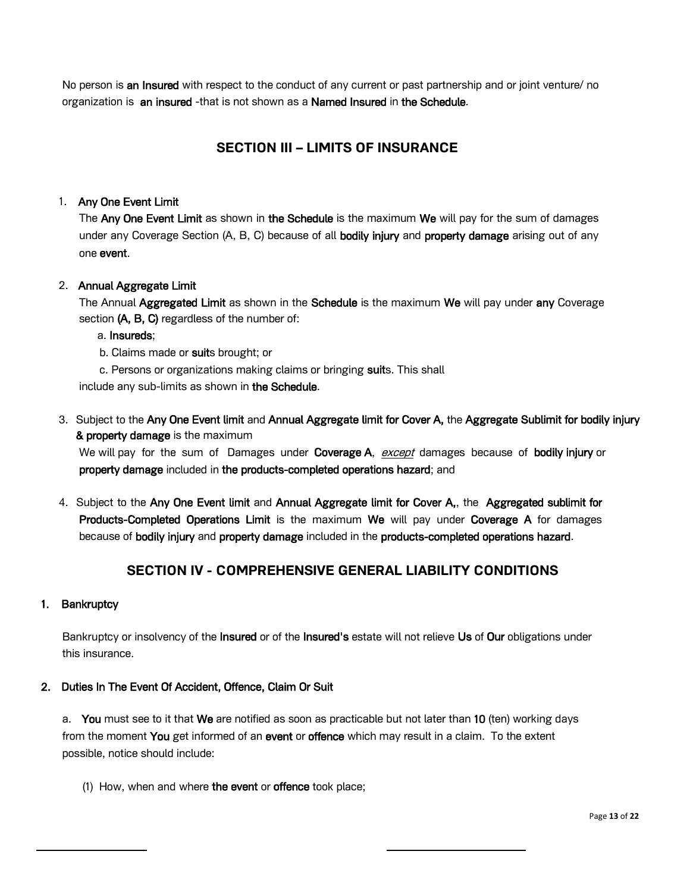No person is an Insured with respect to the conduct of any current or past partnership and or joint venture/ no organization is an insured -that is not shown as a Named Insured in the Schedule.

# **SECTION III – LIMITS OF INSURANCE**

# 1. Any One Event Limit

The Any One Event Limit as shown in the Schedule is the maximum We will pay for the sum of damages under any Coverage Section (A, B, C) because of all **bodily injury** and **property damage** arising out of any one event.

## 2. Annual Aggregate Limit

The Annual Aggregated Limit as shown in the Schedule is the maximum We will pay under any Coverage section (A, B, C) regardless of the number of:

## a. Insureds;

b. Claims made or suits brought; or

c. Persons or organizations making claims or bringing suits. This shall

include any sub-limits as shown in the Schedule.

3. Subject to the Any One Event limit and Annual Aggregate limit for Cover A, the Aggregate Sublimit for bodily injury & property damage is the maximum

We will pay for the sum of Damages under Coverage A, except damages because of bodily injury or property damage included in the products-completed operations hazard; and

4. Subject to the Any One Event limit and Annual Aggregate limit for Cover A,, the Aggregated sublimit for Products-Completed Operations Limit is the maximum We will pay under Coverage A for damages because of bodily injury and property damage included in the products-completed operations hazard.

# **SECTION IV - COMPREHENSIVE GENERAL LIABILITY CONDITIONS**

## 1. Bankruptcy

Bankruptcy or insolvency of the Insured or of the Insured's estate will not relieve Us of Our obligations under this insurance.

## 2. Duties In The Event Of Accident, Offence, Claim Or Suit

a. You must see to it that We are notified as soon as practicable but not later than 10 (ten) working days from the moment You get informed of an event or offence which may result in a claim. To the extent possible, notice should include:

(1) How, when and where the event or offence took place;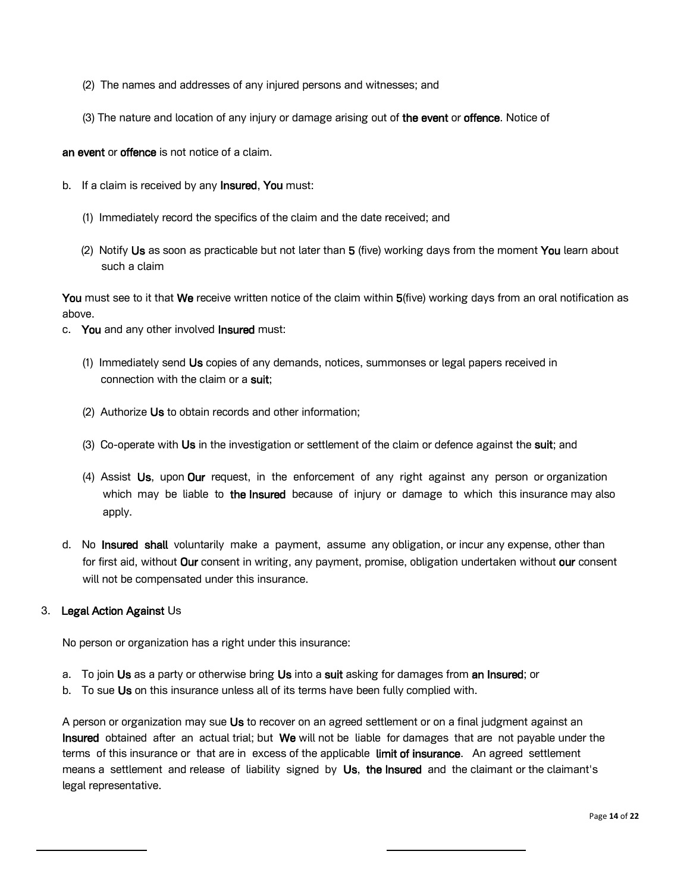- (2) The names and addresses of any injured persons and witnesses; and
- (3) The nature and location of any injury or damage arising out of the event or offence. Notice of

an event or offence is not notice of a claim.

- b. If a claim is received by any **Insured**, You must:
	- (1) Immediately record the specifics of the claim and the date received; and
	- (2) Notify Us as soon as practicable but not later than 5 (five) working days from the moment You learn about such a claim

You must see to it that We receive written notice of the claim within 5(five) working days from an oral notification as above.

- c. You and any other involved **Insured** must:
	- (1) Immediately send Us copies of any demands, notices, summonses or legal papers received in connection with the claim or a suit:
	- (2) Authorize Us to obtain records and other information;
	- (3) Co-operate with Us in the investigation or settlement of the claim or defence against the suit; and
	- (4) Assist Us, upon Our request, in the enforcement of any right against any person or organization which may be liable to the Insured because of injury or damage to which this insurance may also apply.
- d. No Insured shall voluntarily make a payment, assume any obligation, or incur any expense, other than for first aid, without **Our** consent in writing, any payment, promise, obligation undertaken without **our** consent will not be compensated under this insurance.

### 3. Legal Action Against Us

No person or organization has a right under this insurance:

- a. To join Us as a party or otherwise bring Us into a suit asking for damages from an Insured; or
- b. To sue Us on this insurance unless all of its terms have been fully complied with.

A person or organization may sue Us to recover on an agreed settlement or on a final judgment against an Insured obtained after an actual trial; but We will not be liable for damages that are not payable under the terms of this insurance or that are in excess of the applicable limit of insurance. An agreed settlement means a settlement and release of liability signed by Us, the Insured and the claimant or the claimant's legal representative.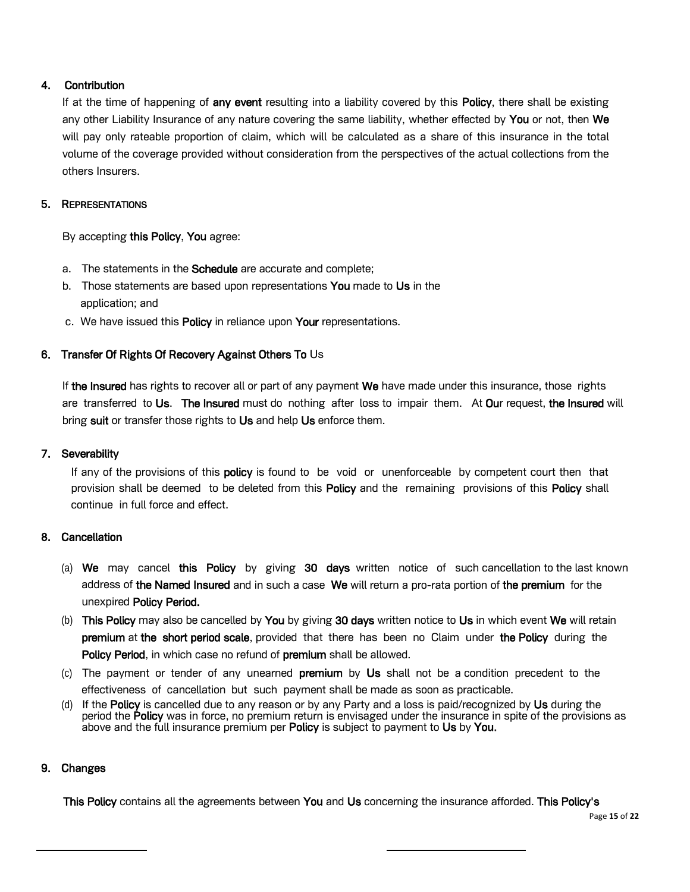## 4. Contribution

If at the time of happening of any event resulting into a liability covered by this Policy, there shall be existing any other Liability Insurance of any nature covering the same liability, whether effected by You or not, then We will pay only rateable proportion of claim, which will be calculated as a share of this insurance in the total volume of the coverage provided without consideration from the perspectives of the actual collections from the others Insurers.

# 5. REPRESENTATIONS

By accepting this Policy, You agree:

- a. The statements in the **Schedule** are accurate and complete;
- b. Those statements are based upon representations You made to Us in the application; and
- c. We have issued this Policy in reliance upon Your representations.

# 6. Transfer Of Rights Of Recovery Against Others To Us

If the Insured has rights to recover all or part of any payment We have made under this insurance, those rights are transferred to Us. The Insured must do nothing after loss to impair them. At Our request, the Insured will bring suit or transfer those rights to Us and help Us enforce them.

## 7. Severability

If any of the provisions of this **policy** is found to be void or unenforceable by competent court then that provision shall be deemed to be deleted from this Policy and the remaining provisions of this Policy shall continue in full force and effect.

## 8. Cancellation

- (a) We may cancel this Policy by giving 30 days written notice of such cancellation to the last known address of the Named Insured and in such a case We will return a pro-rata portion of the premium for the unexpired Policy Period.
- (b) This Policy may also be cancelled by You by giving 30 days written notice to Us in which event We will retain premium at the short period scale, provided that there has been no Claim under the Policy during the Policy Period, in which case no refund of premium shall be allowed.
- (c) The payment or tender of any unearned premium by Us shall not be a condition precedent to the effectiveness of cancellation but such payment shall be made as soon as practicable.
- (d) If the Policy is cancelled due to any reason or by any Party and a loss is paid/recognized by Us during the period the Policy was in force, no premium return is envisaged under the insurance in spite of the provisions as above and the full insurance premium per **Policy** is subject to payment to Us by You.

# 9. Changes

This Policy contains all the agreements between You and Us concerning the insurance afforded. This Policy's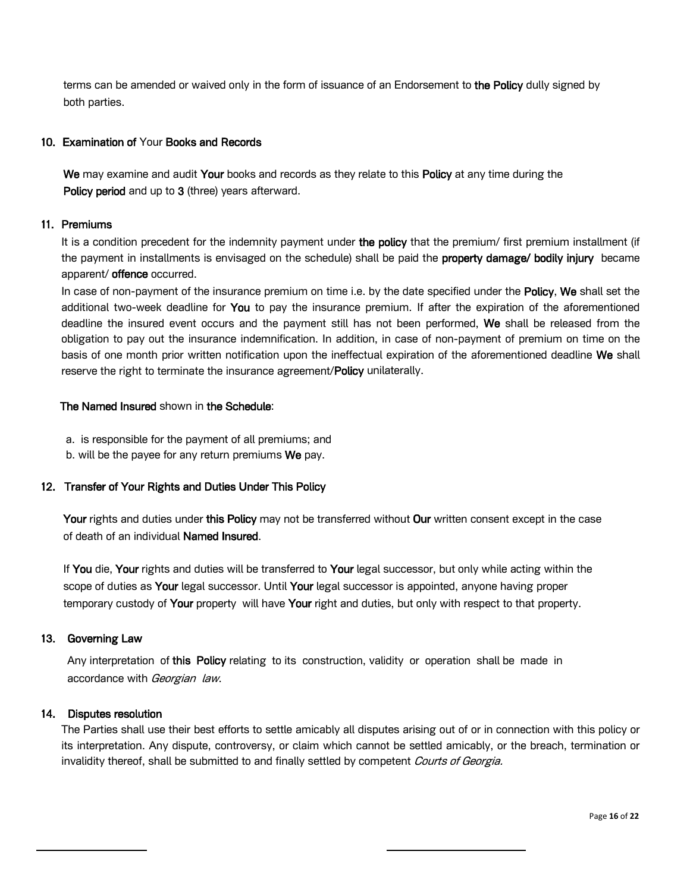terms can be amended or waived only in the form of issuance of an Endorsement to the Policy dully signed by both parties.

## 10. Examination of Your Books and Records

We may examine and audit Your books and records as they relate to this Policy at any time during the Policy period and up to 3 (three) years afterward.

## 11. Premiums

It is a condition precedent for the indemnity payment under the policy that the premium/ first premium installment (if the payment in installments is envisaged on the schedule) shall be paid the **property damage/ bodily injury** became apparent/ offence occurred.

In case of non-payment of the insurance premium on time i.e. by the date specified under the Policy, We shall set the additional two-week deadline for You to pay the insurance premium. If after the expiration of the aforementioned deadline the insured event occurs and the payment still has not been performed. We shall be released from the obligation to pay out the insurance indemnification. In addition, in case of non-payment of premium on time on the basis of one month prior written notification upon the ineffectual expiration of the aforementioned deadline We shall reserve the right to terminate the insurance agreement/Policy unilaterally.

# The Named Insured shown in the Schedule:

a. is responsible for the payment of all premiums; and

b. will be the payee for any return premiums We pay.

### 12. Transfer of Your Rights and Duties Under This Policy

Your rights and duties under this Policy may not be transferred without Our written consent except in the case of death of an individual Named Insured.

If You die, Your rights and duties will be transferred to Your legal successor, but only while acting within the scope of duties as Your legal successor. Until Your legal successor is appointed, anyone having proper temporary custody of Your property will have Your right and duties, but only with respect to that property.

### 13. Governing Law

Any interpretation of this Policy relating to its construction, validity or operation shall be made in accordance with Georgian law.

### 14. Disputes resolution

The Parties shall use their best efforts to settle amicably all disputes arising out of or in connection with this policy or its interpretation. Any dispute, controversy, or claim which cannot be settled amicably, or the breach, termination or invalidity thereof, shall be submitted to and finally settled by competent Courts of Georgia.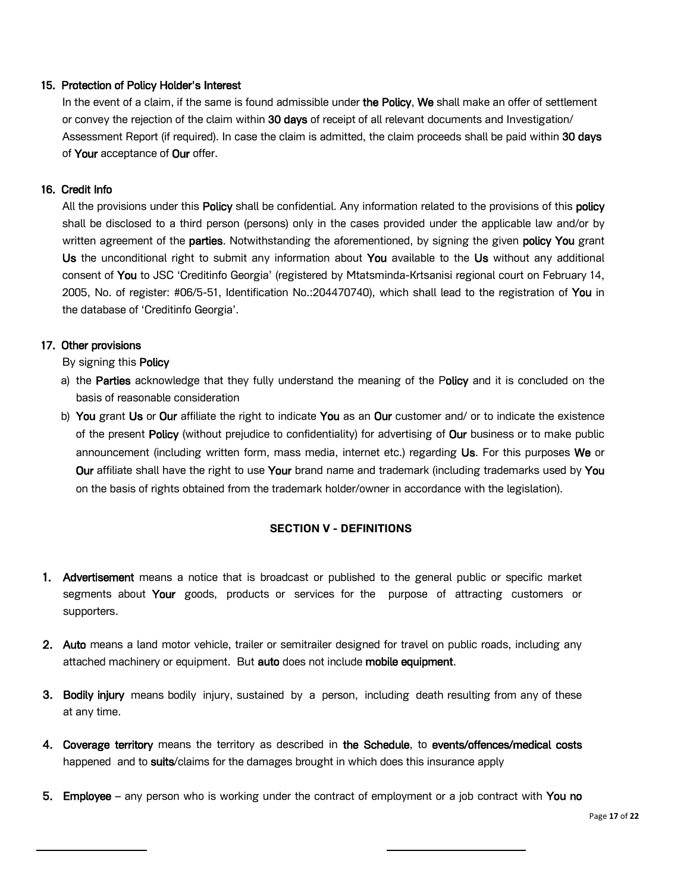## 15. Protection of Policy Holder's Interest

In the event of a claim, if the same is found admissible under the Policy, We shall make an offer of settlement or convey the rejection of the claim within 30 days of receipt of all relevant documents and Investigation/ Assessment Report (if required). In case the claim is admitted, the claim proceeds shall be paid within 30 days of Your acceptance of Our offer.

## 16. Credit Info

All the provisions under this **Policy** shall be confidential. Any information related to the provisions of this policy shall be disclosed to a third person (persons) only in the cases provided under the applicable law and/or by written agreement of the **parties**. Notwithstanding the aforementioned, by signing the given **policy You** grant Us the unconditional right to submit any information about You available to the Us without any additional consent of You to JSC 'Creditinfo Georgia' (registered by Mtatsminda-Krtsanisi regional court on February 14, 2005, No. of register: #06/5-51, Identification No.:204470740), which shall lead to the registration of You in the database of 'Creditinfo Georgia'.

## 17. Other provisions

By signing this Policy

- a) the **Parties** acknowledge that they fully understand the meaning of the Policy and it is concluded on the basis of reasonable consideration
- b) You grant Us or Our affiliate the right to indicate You as an Our customer and/ or to indicate the existence of the present Policy (without prejudice to confidentiality) for advertising of Our business or to make public announcement (including written form, mass media, internet etc.) regarding Us. For this purposes We or Our affiliate shall have the right to use Your brand name and trademark (including trademarks used by You on the basis of rights obtained from the trademark holder/owner in accordance with the legislation).

## **SECTION V - DEFINITIONS**

- 1. Advertisement means a notice that is broadcast or published to the general public or specific market segments about Your goods, products or services for the purpose of attracting customers or supporters.
- 2. Auto means a land motor vehicle, trailer or semitrailer designed for travel on public roads, including any attached machinery or equipment. But auto does not include mobile equipment.
- **3. Bodily injury** means bodily injury, sustained by a person, including death resulting from any of these at any time.
- 4. Coverage territory means the territory as described in the Schedule, to events/offences/medical costs happened and to suits/claims for the damages brought in which does this insurance apply
- 5. Employee any person who is working under the contract of employment or a job contract with You no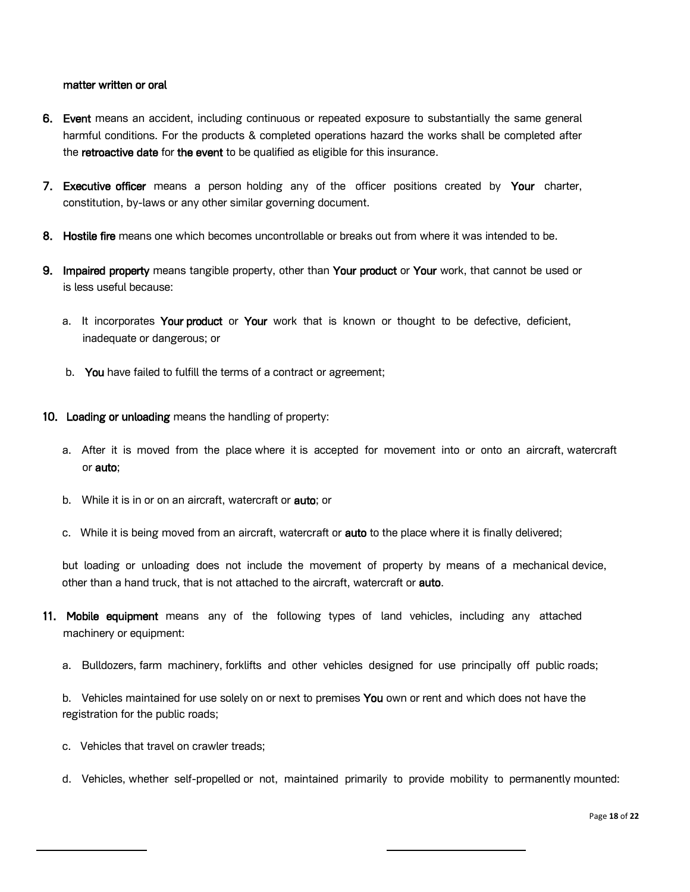#### matter written or oral

- 6. Event means an accident, including continuous or repeated exposure to substantially the same general harmful conditions. For the products & completed operations hazard the works shall be completed after the retroactive date for the event to be qualified as eligible for this insurance.
- 7. Executive officer means a person holding any of the officer positions created by Your charter, constitution, by-laws or any other similar governing document.
- 8. Hostile fire means one which becomes uncontrollable or breaks out from where it was intended to be.
- 9. Impaired property means tangible property, other than Your product or Your work, that cannot be used or is less useful because:
	- a. It incorporates Your product or Your work that is known or thought to be defective, deficient, inadequate or dangerous; or
	- b. You have failed to fulfill the terms of a contract or agreement;
- 10. Loading or unloading means the handling of property:
	- a. After it is moved from the place where it is accepted for movement into or onto an aircraft, watercraft or auto;
	- b. While it is in or on an aircraft, watercraft or **auto**; or
	- c. While it is being moved from an aircraft, watercraft or **auto** to the place where it is finally delivered;

but loading or unloading does not include the movement of property by means of a mechanical device, other than a hand truck, that is not attached to the aircraft, watercraft or **auto**.

- 11. Mobile equipment means any of the following types of land vehicles, including any attached machinery or equipment:
	- a. Bulldozers, farm machinery, forklifts and other vehicles designed for use principally off public roads;

b. Vehicles maintained for use solely on or next to premises You own or rent and which does not have the registration for the public roads;

- c. Vehicles that travel on crawler treads;
- d. Vehicles, whether self-propelled or not, maintained primarily to provide mobility to permanently mounted: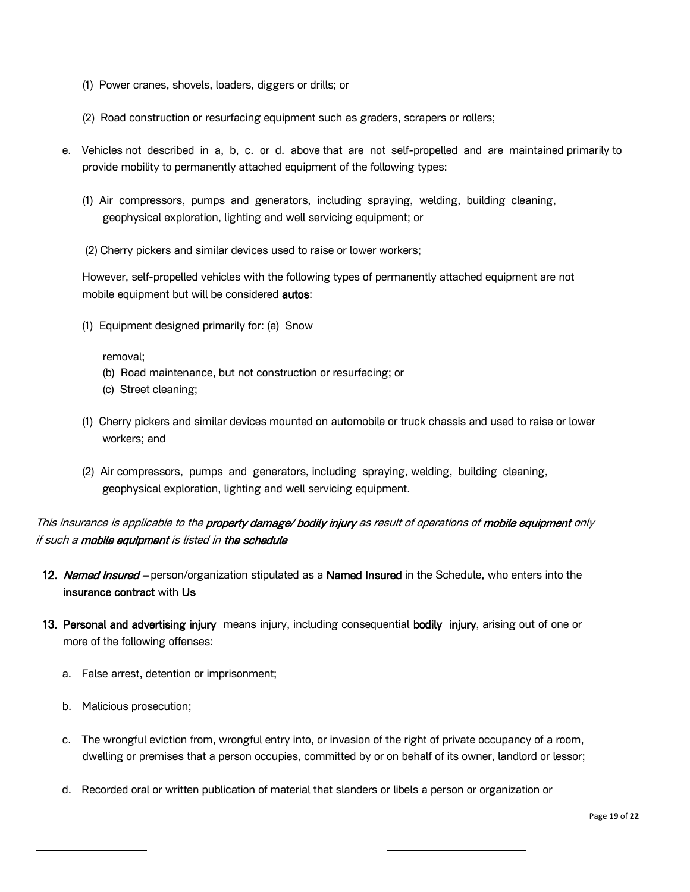- (1) Power cranes, shovels, loaders, diggers or drills; or
- (2) Road construction or resurfacing equipment such as graders, scrapers or rollers;
- e. Vehicles not described in a, b, c. or d. above that are not self-propelled and are maintained primarily to provide mobility to permanently attached equipment of the following types:
	- (1) Air compressors, pumps and generators, including spraying, welding, building cleaning, geophysical exploration, lighting and well servicing equipment; or
	- (2) Cherry pickers and similar devices used to raise or lower workers;

However, self-propelled vehicles with the following types of permanently attached equipment are not mobile equipment but will be considered **autos**:

(1) Equipment designed primarily for: (a) Snow

removal;

- (b) Road maintenance, but not construction or resurfacing; or
- (c) Street cleaning;
- (1) Cherry pickers and similar devices mounted on automobile or truck chassis and used to raise or lower workers; and
- (2) Air compressors, pumps and generators, including spraying, welding, building cleaning, geophysical exploration, lighting and well servicing equipment.

# This insurance is applicable to the property damage/ bodily injury as result of operations of mobile equipment only if such a **mobile equipment** is listed in the schedule

- 12. Named Insured person/organization stipulated as a Named Insured in the Schedule, who enters into the insurance contract with Us
- 13. Personal and advertising injury means injury, including consequential bodily injury, arising out of one or more of the following offenses:
	- a. False arrest, detention or imprisonment;
	- b. Malicious prosecution;
	- c. The wrongful eviction from, wrongful entry into, or invasion of the right of private occupancy of a room, dwelling or premises that a person occupies, committed by or on behalf of its owner, landlord or lessor;
	- d. Recorded oral or written publication of material that slanders or libels a person or organization or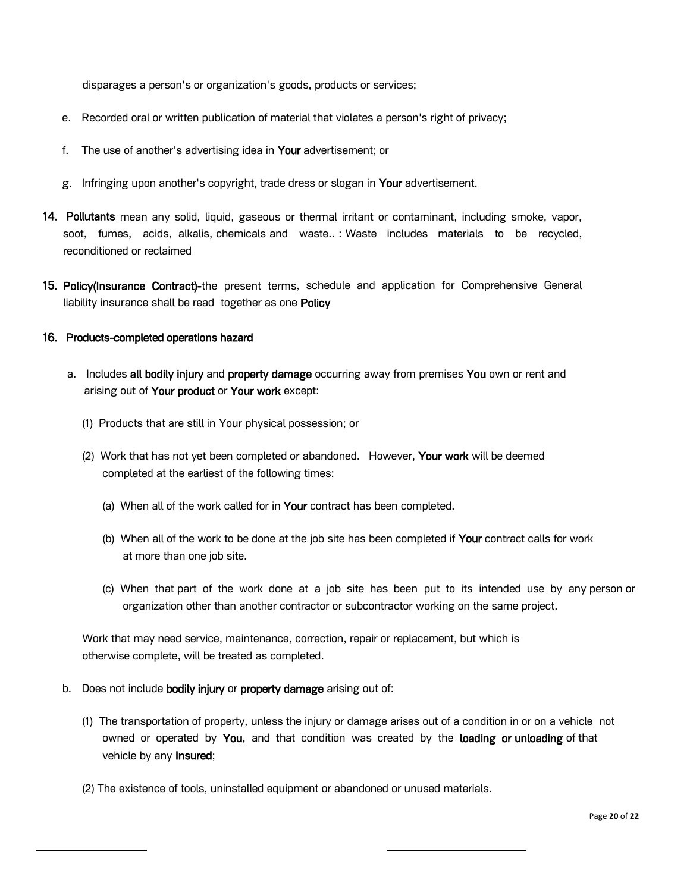disparages a person's or organization's goods, products or services;

- e. Recorded oral or written publication of material that violates a person's right of privacy;
- f. The use of another's advertising idea in Your advertisement; or
- g. Infringing upon another's copyright, trade dress or slogan in Your advertisement.
- 14. Pollutants mean any solid, liquid, gaseous or thermal irritant or contaminant, including smoke, vapor, soot, fumes, acids, alkalis, chemicals and waste.. : Waste includes materials to be recycled, reconditioned or reclaimed
- 15. Policy(Insurance Contract)-the present terms, schedule and application for Comprehensive General liability insurance shall be read together as one Policy

### 16. Products-completed operations hazard

- a. Includes all bodily injury and property damage occurring away from premises You own or rent and arising out of Your product or Your work except:
	- (1) Products that are still in Your physical possession; or
	- (2) Work that has not yet been completed or abandoned. However, Your work will be deemed completed at the earliest of the following times:
		- (a) When all of the work called for in Your contract has been completed.
		- (b) When all of the work to be done at the job site has been completed if Your contract calls for work at more than one job site.
		- (c) When that part of the work done at a job site has been put to its intended use by any person or organization other than another contractor or subcontractor working on the same project.

Work that may need service, maintenance, correction, repair or replacement, but which is otherwise complete, will be treated as completed.

- b. Does not include **bodily injury** or **property damage** arising out of:
	- (1) The transportation of property, unless the injury or damage arises out of a condition in or on a vehicle not owned or operated by You, and that condition was created by the loading or unloading of that vehicle by any Insured;
	- (2) The existence of tools, uninstalled equipment or abandoned or unused materials.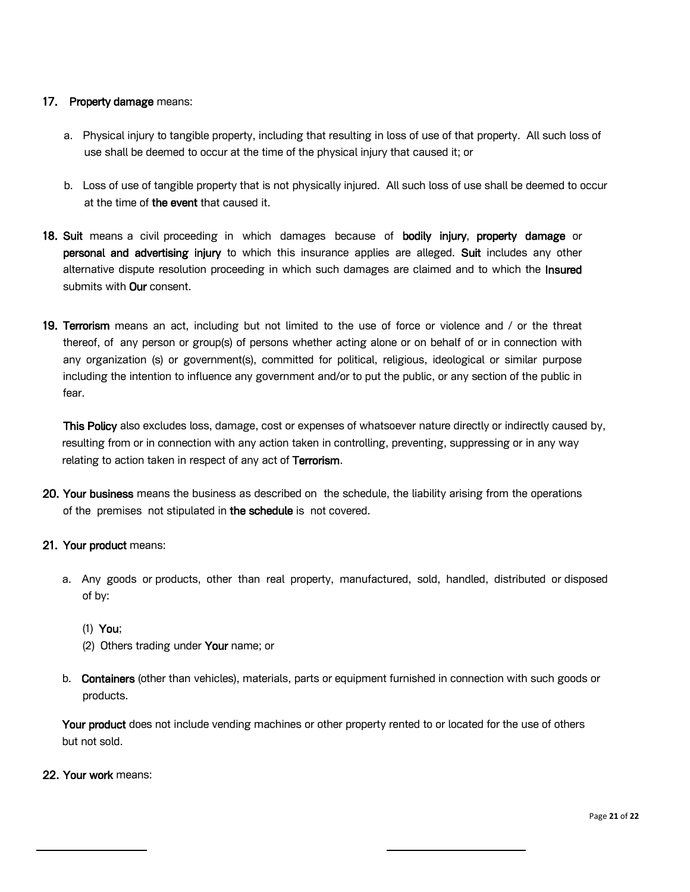## 17. Property damage means:

- a. Physical injury to tangible property, including that resulting in loss of use of that property. All such loss of use shall be deemed to occur at the time of the physical injury that caused it; or
- b. Loss of use of tangible property that is not physically injured. All such loss of use shall be deemed to occur at the time of the event that caused it.
- 18. Suit means a civil proceeding in which damages because of bodily injury, property damage or personal and advertising injury to which this insurance applies are alleged. Suit includes any other alternative dispute resolution proceeding in which such damages are claimed and to which the **Insured** submits with **Our** consent.
- 19. Terrorism means an act, including but not limited to the use of force or violence and / or the threat thereof, of any person or group(s) of persons whether acting alone or on behalf of or in connection with any organization (s) or government(s), committed for political, religious, ideological or similar purpose including the intention to influence any government and/or to put the public, or any section of the public in fear.

This Policy also excludes loss, damage, cost or expenses of whatsoever nature directly or indirectly caused by, resulting from or in connection with any action taken in controlling, preventing, suppressing or in any way relating to action taken in respect of any act of Terrorism.

20. Your business means the business as described on the schedule, the liability arising from the operations of the premises not stipulated in the schedule is not covered.

## 21. Your product means:

- a. Any goods or products, other than real property, manufactured, sold, handled, distributed or disposed of by:
	- (1) You;
	- (2) Others trading under Your name; or
- b. Containers (other than vehicles), materials, parts or equipment furnished in connection with such goods or products.

Your product does not include vending machines or other property rented to or located for the use of others but not sold.

22. Your work means: